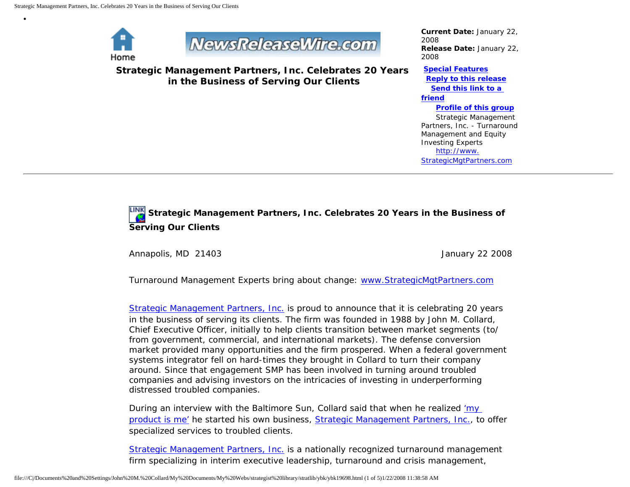

•

## NewsReleaseWire.com

**Strategic Management Partners, Inc. Celebrates 20 Years in the Business of Serving Our Clients**

*Current Date:* January 22, 2008 *Release Date:* January 22, 2008

**[Special Features](javascript:openlittleme() [Reply to this release](file:///C|/Documents%20and%20Settings/John%20M.%20Collard/My%20Documents/My%20Webs/strategist%20library/stratlib/ybk/default.cfm?Action=ReplyRelease&Id=19698) [Send this link to a](file:///C|/Documents%20and%20Settings/John%20M.%20Collard/My%20Documents/My%20Webs/strategist%20library/stratlib/ybk/default.cfm?Action=SendLink&SendId=19698)  [friend](file:///C|/Documents%20and%20Settings/John%20M.%20Collard/My%20Documents/My%20Webs/strategist%20library/stratlib/ybk/default.cfm?Action=SendLink&SendId=19698) [Profile of this group](file:///C|/Documents%20and%20Settings/John%20M.%20Collard/My%20Documents/My%20Webs/strategist%20library/stratlib/ybk/default.cfm?Action=Profile&ProfileId=623)** Strategic Management Partners, Inc. - Turnaround

Management and Equity Investing Experts [http://www.](http://www.strategicmgtpartners.com/) [StrategicMgtPartners.com](http://www.strategicmgtpartners.com/)

## **Strategic Management Partners, Inc. Celebrates 20 Years in the Business of Serving Our Clients**

Annapolis, MD 21403 **Annapolis**, MD 21403

Turnaround Management Experts bring about change: [www.StrategicMgtPartners.com](http://www.strategicmgtpartners.com/)

[Strategic Management Partners, Inc.](http://www.strategicmanagementpartnersinc.com/) is proud to announce that it is celebrating 20 years in the business of serving its clients. The firm was founded in 1988 by John M. Collard, Chief Executive Officer, initially to help clients transition between market segments (to/ from government, commercial, and international markets). The defense conversion market provided many opportunities and the firm prospered. When a federal government systems integrator fell on hard-times they brought in Collard to turn their company around. Since that engagement SMP has been involved in turning around troubled companies and advising investors on the intricacies of investing in underperforming distressed troubled companies.

During an interview with the Baltimore Sun, Collard said that when he realized ['my](http://members.aol.com/Stratlib3/bsjc.html) [product is me'](http://members.aol.com/Stratlib3/bsjc.html) he started his own business, [Strategic Management Partners, Inc.](http://members.aol.com/Strategist/home.html), to offer specialized services to troubled clients.

[Strategic Management Partners, Inc.](http://www.strategicmgtpartners.com/) is a nationally recognized turnaround management firm specializing in interim executive leadership, turnaround and crisis management,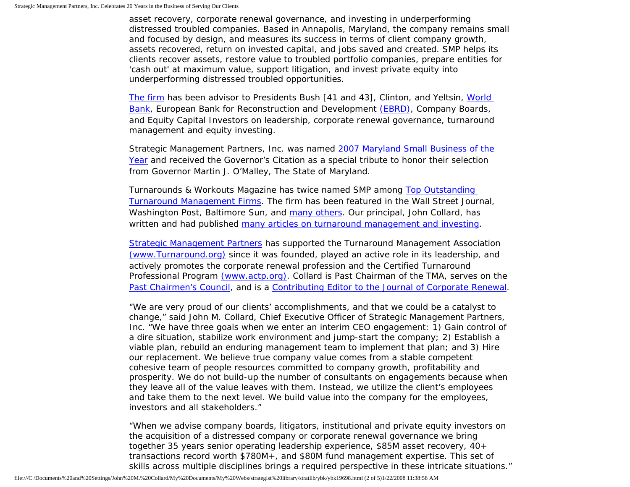asset recovery, corporate renewal governance, and investing in underperforming distressed troubled companies. Based in Annapolis, Maryland, the company remains small and focused by design, and measures its success in terms of client company growth, assets recovered, return on invested capital, and jobs saved and created. SMP helps its clients recover assets, restore value to troubled portfolio companies, prepare entities for 'cash out' at maximum value, support litigation, and invest private equity into underperforming distressed troubled opportunities.

[The firm](http://www.turnaroundmanagement.us.com/) has been advisor to Presidents Bush [41 and 43], Clinton, and Yeltsin, [World](http://www.worldbank.org/)  [Bank,](http://www.worldbank.org/) European Bank for Reconstruction and Development [\(EBRD\)](http://www.ebrd.com/about/index.htm), Company Boards, and Equity Capital Investors on leadership, corporate renewal governance, turnaround management and equity investing.

Strategic Management Partners, Inc. was named [2007 Maryland Small Business of the](http://members.aol.com/Stratlib3/mccsbyr.html) [Year](http://members.aol.com/Stratlib3/mccsbyr.html) and received the Governor's Citation as a special tribute to honor their selection from Governor Martin J. O'Malley, The State of Maryland.

Turnarounds & Workouts Magazine has twice named SMP among [Top Outstanding](http://members.aol.com/Strategist/twtop12.html) [Turnaround Management Firms](http://members.aol.com/Strategist/twtop12.html). The firm has been featured in the Wall Street Journal, Washington Post, Baltimore Sun, and [many others](http://members.aol.com/Strategist/press.html). Our principal, John Collard, has written and had published [many articles on turnaround management and investing](http://members.aol.com/Stratlib3/libindx.html).

[Strategic Management Partners](http://members.aol.com/Strategist/sitemap.html) has supported the Turnaround Management Association [\(www.Turnaround.org\)](http://www.turnaround.org/) since it was founded, played an active role in its leadership, and actively promotes the corporate renewal profession and the Certified Turnaround Professional Program [\(www.actp.org\).](http://www.actp.org/) Collard is Past Chairman of the TMA, serves on the [Past Chairmen's Council](http://members.aol.com/Strategist/pastchair.html), and is a [Contributing Editor to the Journal of Corporate Renewal](http://members.aol.com/Stratlib3/jcrmining.html).

"We are very proud of our clients' accomplishments, and that we could be a catalyst to change," said John M. Collard, Chief Executive Officer of Strategic Management Partners, Inc. "We have three goals when we enter an interim CEO engagement: 1) Gain control of a dire situation, stabilize work environment and jump-start the company; 2) Establish a viable plan, rebuild an enduring management team to implement that plan; and 3) Hire our replacement. We believe true company value comes from a stable competent cohesive team of people resources committed to company growth, profitability and prosperity. We do not build-up the number of consultants on engagements because when they leave all of the value leaves with them. Instead, we utilize the client's employees and take them to the next level. We build value into the company for the employees, investors and all stakeholders."

"When we advise company boards, litigators, institutional and private equity investors on the acquisition of a distressed company or corporate renewal governance we bring together 35 years senior operating leadership experience, \$85M asset recovery, 40+ transactions record worth \$780M+, and \$80M fund management expertise. This set of skills across multiple disciplines brings a required perspective in these intricate situations."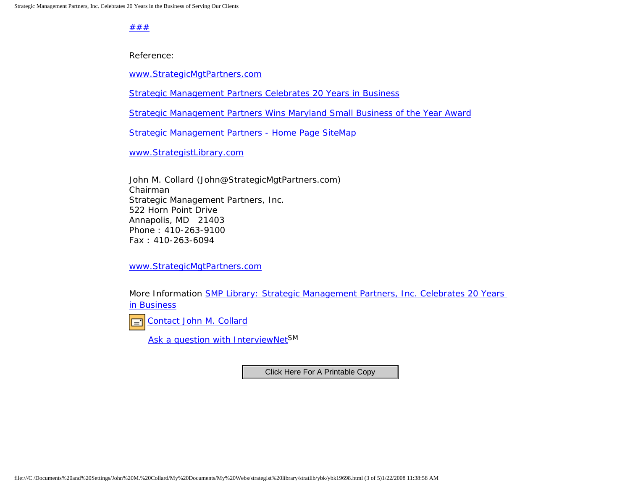[#](http://members.aol.com/Strategist/home.html)[#](http://members.aol.com/Strategist/sitemap.html)[#](http://members.aol.com/Strategist/urllist.txt)

Reference:

[www.StrategicMgtPartners.com](http://www.strategicmgtpartners.com/)

[Strategic Management Partners Celebrates 20 Years in Business](http://members.aol.com/Strategist/smp20yr.html)

[Strategic Management Partners Wins Maryland Small Business of the Year Award](http://members.aol.com/Stratlib3/mccsbyr.html)

[Strategic Management Partners - Home Page](http://members.aol.com/Strategist/home.html) [Site](http://members.aol.com/Stratlib/sitemap.html)[Map](http://members.aol.com/Stratlib/urllist.txt)

[www.StrategistLibrary.com](http://www.strategistlibrary.com/)

John M. Collard (John@StrategicMgtPartners.com) Chairman Strategic Management Partners, Inc. 522 Horn Point Drive Annapolis, MD 21403 Phone : 410-263-9100 Fax : 410-263-6094

[www.StrategicMgtPartners.com](http://www.strategicmgtpartners.com/)

More Information [SMP Library: Strategic Management Partners, Inc. Celebrates 20 Years](http://members.aol.com/strategist/smp20yr.html) [in Business](http://members.aol.com/strategist/smp20yr.html)



[Ask a question with InterviewNetS](http://www.expertclick.com/expertClick/contact/default.cfm?GroupID=1016)M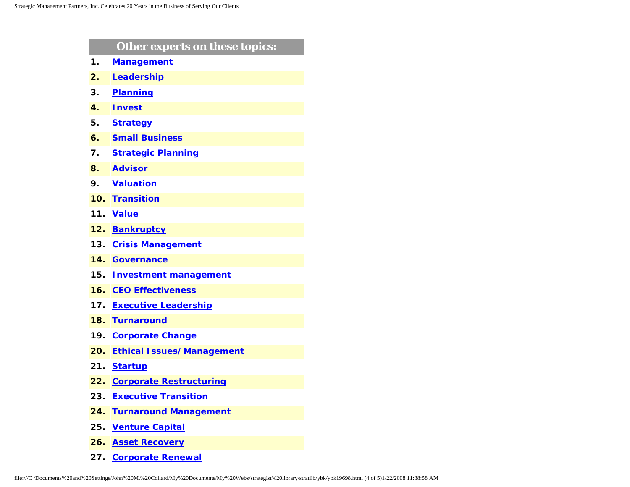|                           | Other experts on these topics:   |
|---------------------------|----------------------------------|
| 1.                        | <b>Management</b>                |
| $\overline{\mathbf{2}}$ . | Leadership                       |
| З.                        | <b>Planning</b>                  |
| 4.                        | <b>Invest</b>                    |
| 5.                        | <b>Strategy</b>                  |
| 6.                        | <b>Small Business</b>            |
| 7.                        | <b>Strategic Planning</b>        |
| 8.                        | <b>Advisor</b>                   |
| 9.                        | <b>Valuation</b>                 |
| 10.                       | <b>Transition</b>                |
| 11.                       | <b>Value</b>                     |
| 12.                       | <b>Bankruptcy</b>                |
| 13.                       | <b>Crisis Management</b>         |
| 14.                       | <b>Governance</b>                |
| 15.                       | <b>Investment management</b>     |
| 16.                       | <b>CEO Effectiveness</b>         |
| 17.                       | <b>Executive Leadership</b>      |
| 18.                       | <b>Turnaround</b>                |
| 19.                       | <b>Corporate Change</b>          |
| 20.                       | <b>Ethical Issues/Management</b> |
| 21.                       | <b>Startup</b>                   |
| 22.                       | <b>Corporate Restructuring</b>   |
| 23.                       | <b>Executive Transition</b>      |
| 24.                       | <b>Turnaround Management</b>     |
| 25.                       | <b>Venture Capital</b>           |
| 26.                       | <b>Asset Recovery</b>            |

**27. [Corporate Renewal](http://www.expertclick.com/search/default.cfm?SearchCriteria=Corporate Renewal)**